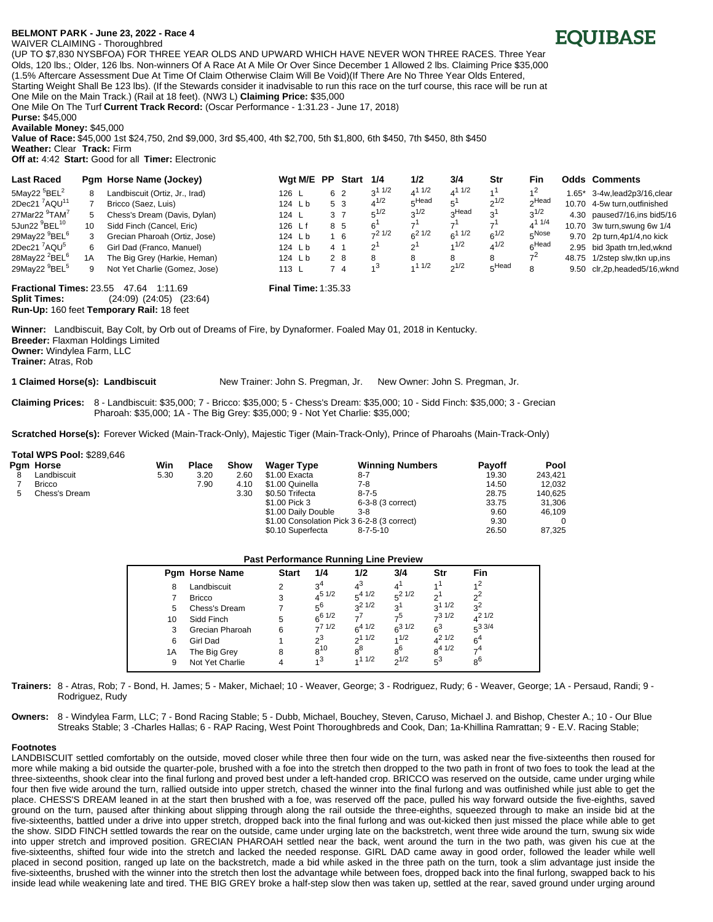## **BELMONT PAR[K - June 23, 2022 - Race 4**

## WAIVER CLAIMING - Thoroughbred



(UP TO \$7,830 NYSBFOA) FOR THREE YEAR OLDS AND UPWARD WHICH HAVE NEVER WON THREE RACES. Three Year Olds, 120 lbs.; Older, 126 lbs. Non-winners Of A Race At A Mile Or Over Since December 1 Allowed 2 lbs. Claiming Price \$35,000 (1.5% Aftercare Assessment Due At Time Of Claim Otherwise Claim Will Be Void)(If There Are No Three Year Olds Entered, Starting Weight Shall Be 123 lbs). (If the Stewards consider it inadvisable to run this race on the turf course, this race will be run at One Mile on the Main Track.) (Rail at 18 feet). (NW3 L) **Claiming Price:** \$35,000

One Mile On The Turf **Current Track Record:** (Oscar Performance - 1:31.23 - June 17, 2018)

**Purse:** \$45,000

**Available Money:** \$45,000

**Value of Race:** \$45,000 1st \$24,750, 2nd \$9,000, 3rd \$5,400, 4th \$2,700, 5th \$1,800, 6th \$450, 7th \$450, 8th \$450 **Weather:** Clear **Track:** Firm

**Off at:** 4:42 **Start:** Good for all **Timer:** Electronic

| <b>Last Raced</b>                     |     | Pam Horse Name (Jockey)        | Wat M/E PP      |                 | <b>Start</b> | 1/4                   | 1/2        | 3/4               | Str                    | Fin               |        | Odds Comments                   |
|---------------------------------------|-----|--------------------------------|-----------------|-----------------|--------------|-----------------------|------------|-------------------|------------------------|-------------------|--------|---------------------------------|
| 5May22 $5$ BEL <sup>2</sup>           | 8   | Landbiscuit (Ortiz, Jr., Irad) | 126 L           | 6 2             |              | 1/2<br>3 <sup>1</sup> | $4^{11/2}$ | $4^{11/2}$        | $\lambda$ <sup>1</sup> | 1 <sup>2</sup>    | . .65* | 3-4w,lead2p3/16,clear           |
| 2Dec21 <sup>7</sup> AQU <sup>11</sup> |     | Bricco (Saez, Luis)            | 124 Lb          | 5 3             |              | $4^{1/2}$             | $E$ Head   | 5 <sup>1</sup>    | $2^{1/2}$              | Headر             |        | 10.70 4-5w turn.outfinished     |
| 27Mar22 <sup>9</sup> TAM <sup>7</sup> | 5.  | Chess's Dream (Davis, Dylan)   | 124 L           | 3 7             |              | $5^{1/2}$             | $2^{1/2}$  | Head <sub>c</sub> | 3 <sup>1</sup>         | $3^{1/2}$         |        | 4.30 paused7/16, ins bid5/16    |
| 5Jun22 <sup>9</sup> BEL <sup>10</sup> | 10  | Sidd Finch (Cancel, Eric)      | 126 Lf          | 8 5             |              | 6                     |            | $\rightarrow$ 1   | $\rightarrow$ 1        | $4^{11/4}$        |        | 10.70 3w turn, swung 6w 1/4     |
| 29May22 <sup>9</sup> BEL <sup>6</sup> | 3   | Grecian Pharoah (Ortiz, Jose)  | 124 Lb          | $1\overline{6}$ |              | $-21/2$               | $6^2$ 1/2  | $6^{11/2}$        | $6^{1/2}$              | $5^{\text{Nose}}$ |        | 9.70 2p turn, 4p1/4, no kick    |
| 2Dec21 'AQU <sup>5</sup>              | 6.  | Girl Dad (Franco, Manuel)      | 124 Lb          | 4 1             |              | $\overline{2}$        | ິ          | 1/2               | $4^{1/2}$              | $6^{Head}$        |        | 2.95 bid 3path trn, led, wknd   |
| 28May22 <sup>2</sup> BEL <sup>6</sup> | 1 A | The Big Grey (Harkie, Heman)   | 124 Lb          | 2 8             |              | 8                     |            |                   | 8                      | 74                |        | 48.75 1/2step slw.tkn up.ins    |
| 29May22 <sup>9</sup> BEL <sup>5</sup> | 9   | Not Yet Charlie (Gomez, Jose)  | $113 \text{ L}$ | 74              |              | ৴৽                    | 11/2       | $n^{1/2}$         | FHead                  | 8                 |        | 9.50 clr, 2p, headed 5/16, wknd |

**Fractional Times:** 23.55 47.64 1:11.69 **Final Time:** 1:35.33 **Split Times:** (24:09) (24:05) (23:64) **Run-Up:** 160 feet **Temporary Rail:** 18 feet

**Winner:** Landbiscuit, Bay Colt, by Orb out of Dreams of Fire, by Dynaformer. Foaled May 01, 2018 in Kentucky. **Breeder:** Flaxman Holdings Limited **Owner:** Windylea Farm, LLC **Trainer:** Atras, Rob

**1 Claimed Horse(s): Landbiscuit** New Trainer: John S. Pregman, Jr. New Owner: John S. Pregman, Jr.

**Claiming Prices:** 8 - Landbiscuit: \$35,000; 7 - Bricco: \$35,000; 5 - Chess's Dream: \$35,000; 10 - Sidd Finch: \$35,000; 3 - Grecian Pharoah: \$35,000; 1A - The Big Grey: \$35,000; 9 - Not Yet Charlie: \$35,000;

**Scratched Horse(s):** Forever Wicked (Main-Track-Only), Majestic Tiger (Main-Track-Only), Prince of Pharoahs (Main-Track-Only)

## **Total WPS Pool:** \$289,646

|  | Pam Horse     | Win  | <b>Place</b> | Show | <b>Wager Type</b>                           | <b>Winning Numbers</b> | Payoff | Pool    |
|--|---------------|------|--------------|------|---------------------------------------------|------------------------|--------|---------|
|  | Landbiscuit   | 5.30 | 3.20         | 2.60 | \$1.00 Exacta                               | $8 - 7$                | 19.30  | 243.421 |
|  | <b>Bricco</b> |      | 7.90         | 4.10 | \$1.00 Quinella                             | $7-8$                  | 14.50  | 12.032  |
|  | Chess's Dream |      |              | 3.30 | \$0.50 Trifecta                             | $8 - 7 - 5$            | 28.75  | 140.625 |
|  |               |      |              |      | \$1.00 Pick 3                               | 6-3-8 (3 correct)      | 33.75  | 31.306  |
|  |               |      |              |      | \$1.00 Daily Double                         | $3 - 8$                | 9.60   | 46.109  |
|  |               |      |              |      | \$1.00 Consolation Pick 3 6-2-8 (3 correct) |                        | 9.30   |         |
|  |               |      |              |      | \$0.10 Superfecta                           | $8 - 7 - 5 - 10$       | 26.50  | 87.325  |

| <b>Past Performance Running Line Preview</b> |                       |              |                |             |                |                |                |  |  |  |
|----------------------------------------------|-----------------------|--------------|----------------|-------------|----------------|----------------|----------------|--|--|--|
|                                              | <b>Pam Horse Name</b> | <b>Start</b> | 1/4            | 1/2         | 3/4            | Str            | Fin            |  |  |  |
| 8                                            | Landbiscuit           | 2            | 3 <sup>4</sup> | $4^3$       |                |                | 1 <sup>2</sup> |  |  |  |
|                                              | <b>Bricco</b>         | 3            | $4^{5}$ $1/2$  | $5^{4}$ 1/2 | $5^2$ 1/2      | ച              | $2^2$          |  |  |  |
| 5                                            | Chess's Dream         |              | 56             | $3^2$ 1/2   | 3 <sup>1</sup> | $3^{11/2}$     | $3^2$          |  |  |  |
| 10                                           | Sidd Finch            | 5            | $6^{6}$ 1/2    | -7          | -5             | $-31/2$        | $4^2$ 1/2      |  |  |  |
| 3                                            | Grecian Pharoah       | 6            | $-71/2$        | $6^{4}$ 1/2 | $6^{31/2}$     | 6 <sup>3</sup> | $5^{3}$ 3/4    |  |  |  |
| 6                                            | Girl Dad              |              | $2^3$          | $2^{11/2}$  | 1/2            | $A^2$ 1/2      | 6 <sup>4</sup> |  |  |  |
| 1А                                           | The Big Grey          | 8            | $8^{10}$       | $8^8$       | $8^6$          | $8^{4}$ $1/2$  | - 4            |  |  |  |
| 9                                            | Not Yet Charlie       |              | 3 <sub>1</sub> | 11/2        | $2^{1/2}$      | $5^3$          | $8^6$          |  |  |  |
|                                              |                       |              |                |             |                |                |                |  |  |  |

**Trainers:** 8 - Atras, Rob; 7 - Bond, H. James; 5 - Maker, Michael; 10 - Weaver, George; 3 - Rodriguez, Rudy; 6 - Weaver, George; 1A - Persaud, Randi; 9 - Rodriguez, Rudy

**Owners:** 8 - Windylea Farm, LLC; 7 - Bond Racing Stable; 5 - Dubb, Michael, Bouchey, Steven, Caruso, Michael J. and Bishop, Chester A.; 10 - Our Blue Streaks Stable; 3 -Charles Hallas; 6 - RAP Racing, West Point Thoroughbreds and Cook, Dan; 1a-Khillina Ramrattan; 9 - E.V. Racing Stable;

## **Footnotes**

LANDBISCUIT settled comfortably on the outside, moved closer while three then four wide on the turn, was asked near the five-sixteenths then roused for more while making a bid outside the quarter-pole, brushed with a foe into the stretch then dropped to the two path in front of two foes to took the lead at the three-sixteenths, shook clear into the final furlong and proved best under a left-handed crop. BRICCO was reserved on the outside, came under urging while four then five wide around the turn, rallied outside into upper stretch, chased the winner into the final furlong and was outfinished while just able to get the place. CHESS'S DREAM leaned in at the start then brushed with a foe, was reserved off the pace, pulled his way forward outside the five-eighths, saved ground on the turn, paused after thinking about slipping through along the rail outside the three-eighths, squeezed through to make an inside bid at the five-sixteenths, battled under a drive into upper stretch, dropped back into the final furlong and was out-kicked then just missed the place while able to get the show. SIDD FINCH settled towards the rear on the outside, came under urging late on the backstretch, went three wide around the turn, swung six wide into upper stretch and improved position. GRECIAN PHAROAH settled near the back, went around the turn in the two path, was given his cue at the five-sixteenths, shifted four wide into the stretch and lacked the needed response. GIRL DAD came away in good order, followed the leader while well placed in second position, ranged up late on the backstretch, made a bid while asked in the three path on the turn, took a slim advantage just inside the five-sixteenths, brushed with the winner into the stretch then lost the advantage while between foes, dropped back into the final furlong, swapped back to his inside lead while weakening late and tired. THE BIG GREY broke a half-step slow then was taken up, settled at the rear, saved ground under urging around